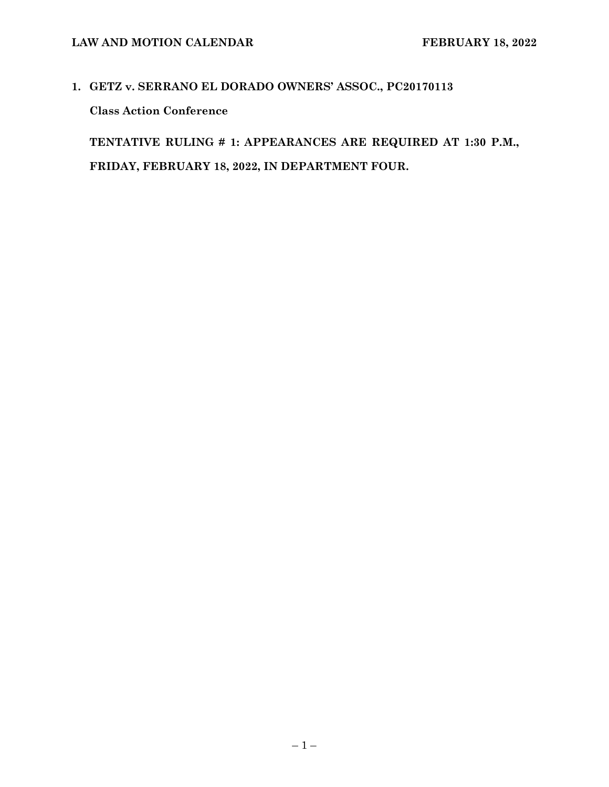## **1. GETZ v. SERRANO EL DORADO OWNERS' ASSOC., PC20170113 Class Action Conference**

**TENTATIVE RULING # 1: APPEARANCES ARE REQUIRED AT 1:30 P.M., FRIDAY, FEBRUARY 18, 2022, IN DEPARTMENT FOUR.**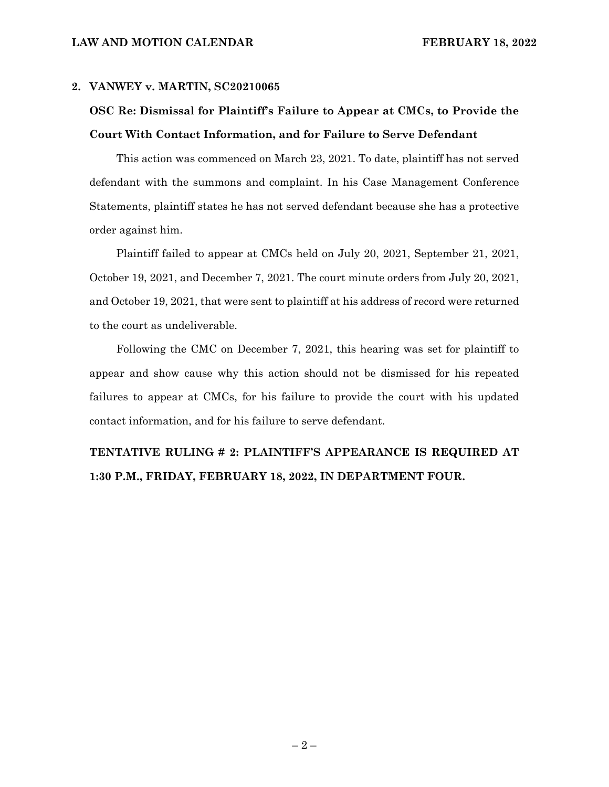#### **2. VANWEY v. MARTIN, SC20210065**

### **OSC Re: Dismissal for Plaintiff's Failure to Appear at CMCs, to Provide the Court With Contact Information, and for Failure to Serve Defendant**

This action was commenced on March 23, 2021. To date, plaintiff has not served defendant with the summons and complaint. In his Case Management Conference Statements, plaintiff states he has not served defendant because she has a protective order against him.

Plaintiff failed to appear at CMCs held on July 20, 2021, September 21, 2021, October 19, 2021, and December 7, 2021. The court minute orders from July 20, 2021, and October 19, 2021, that were sent to plaintiff at his address of record were returned to the court as undeliverable.

Following the CMC on December 7, 2021, this hearing was set for plaintiff to appear and show cause why this action should not be dismissed for his repeated failures to appear at CMCs, for his failure to provide the court with his updated contact information, and for his failure to serve defendant.

### **TENTATIVE RULING # 2: PLAINTIFF'S APPEARANCE IS REQUIRED AT 1:30 P.M., FRIDAY, FEBRUARY 18, 2022, IN DEPARTMENT FOUR.**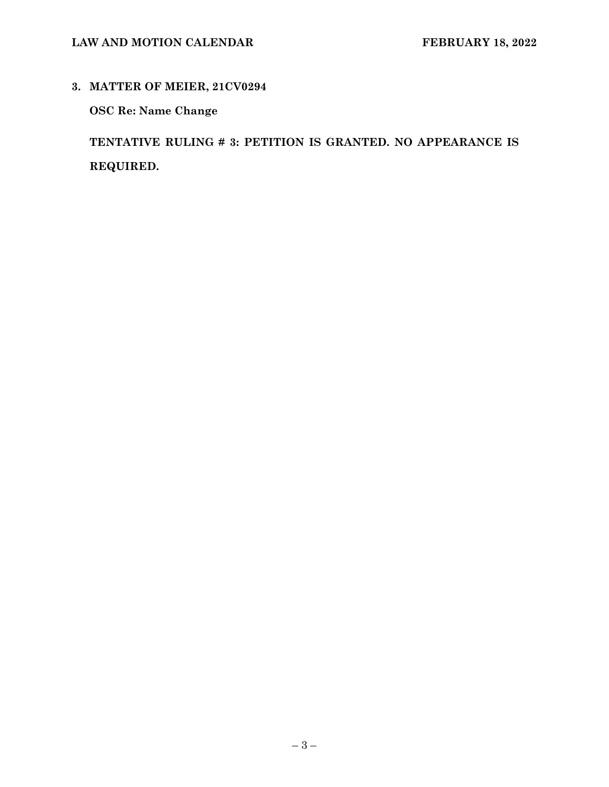**3. MATTER OF MEIER, 21CV0294** 

**OSC Re: Name Change** 

**TENTATIVE RULING # 3: PETITION IS GRANTED. NO APPEARANCE IS REQUIRED.**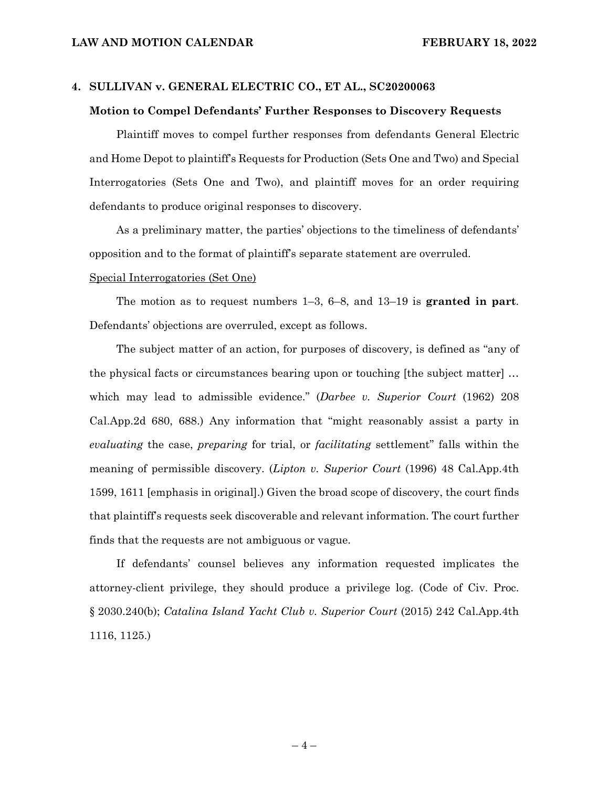#### **4. SULLIVAN v. GENERAL ELECTRIC CO., ET AL., SC20200063**

#### **Motion to Compel Defendants' Further Responses to Discovery Requests**

Plaintiff moves to compel further responses from defendants General Electric and Home Depot to plaintiff's Requests for Production (Sets One and Two) and Special Interrogatories (Sets One and Two), and plaintiff moves for an order requiring defendants to produce original responses to discovery.

As a preliminary matter, the parties' objections to the timeliness of defendants' opposition and to the format of plaintiff's separate statement are overruled.

#### Special Interrogatories (Set One)

The motion as to request numbers 1–3, 6–8, and 13–19 is **granted in part**. Defendants' objections are overruled, except as follows.

The subject matter of an action, for purposes of discovery, is defined as "any of the physical facts or circumstances bearing upon or touching [the subject matter] … which may lead to admissible evidence." (*Darbee v. Superior Court* (1962) 208 Cal.App.2d 680, 688.) Any information that "might reasonably assist a party in *evaluating* the case, *preparing* for trial, or *facilitating* settlement" falls within the meaning of permissible discovery. (*Lipton v. Superior Court* (1996) 48 Cal.App.4th 1599, 1611 [emphasis in original].) Given the broad scope of discovery, the court finds that plaintiff's requests seek discoverable and relevant information. The court further finds that the requests are not ambiguous or vague.

If defendants' counsel believes any information requested implicates the attorney-client privilege, they should produce a privilege log. (Code of Civ. Proc. § 2030.240(b); *Catalina Island Yacht Club v. Superior Court* (2015) 242 Cal.App.4th 1116, 1125.)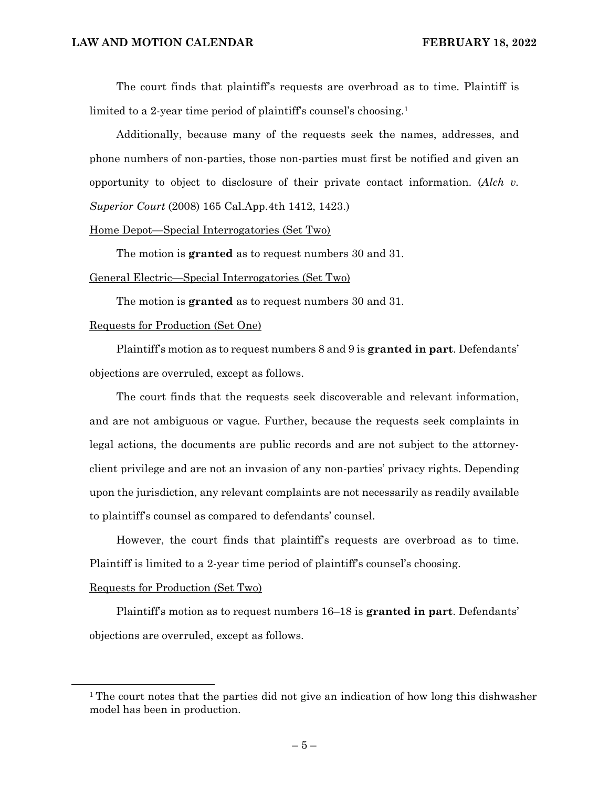The court finds that plaintiff's requests are overbroad as to time. Plaintiff is limited to a 2-year time period of plaintiff's counsel's choosing.<sup>1</sup>

Additionally, because many of the requests seek the names, addresses, and phone numbers of non-parties, those non-parties must first be notified and given an opportunity to object to disclosure of their private contact information. (*Alch v. Superior Court* (2008) 165 Cal.App.4th 1412, 1423.)

#### Home Depot—Special Interrogatories (Set Two)

The motion is **granted** as to request numbers 30 and 31.

#### General Electric—Special Interrogatories (Set Two)

The motion is **granted** as to request numbers 30 and 31.

#### Requests for Production (Set One)

Plaintiff's motion as to request numbers 8 and 9 is **granted in part**. Defendants' objections are overruled, except as follows.

The court finds that the requests seek discoverable and relevant information, and are not ambiguous or vague. Further, because the requests seek complaints in legal actions, the documents are public records and are not subject to the attorneyclient privilege and are not an invasion of any non-parties' privacy rights. Depending upon the jurisdiction, any relevant complaints are not necessarily as readily available to plaintiff's counsel as compared to defendants' counsel.

However, the court finds that plaintiff's requests are overbroad as to time. Plaintiff is limited to a 2-year time period of plaintiff's counsel's choosing.

#### Requests for Production (Set Two)

Plaintiff's motion as to request numbers 16–18 is **granted in part**. Defendants' objections are overruled, except as follows.

<sup>&</sup>lt;sup>1</sup> The court notes that the parties did not give an indication of how long this dishwasher model has been in production.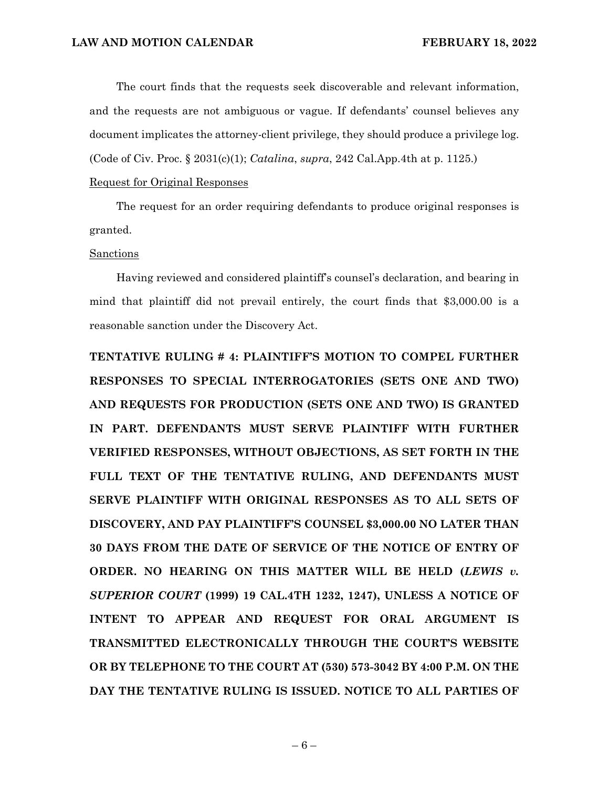The court finds that the requests seek discoverable and relevant information, and the requests are not ambiguous or vague. If defendants' counsel believes any document implicates the attorney-client privilege, they should produce a privilege log. (Code of Civ. Proc. § 2031(c)(1); *Catalina*, *supra*, 242 Cal.App.4th at p. 1125.)

### Request for Original Responses

The request for an order requiring defendants to produce original responses is granted.

#### Sanctions

Having reviewed and considered plaintiff's counsel's declaration, and bearing in mind that plaintiff did not prevail entirely, the court finds that \$3,000.00 is a reasonable sanction under the Discovery Act.

**TENTATIVE RULING # 4: PLAINTIFF'S MOTION TO COMPEL FURTHER RESPONSES TO SPECIAL INTERROGATORIES (SETS ONE AND TWO) AND REQUESTS FOR PRODUCTION (SETS ONE AND TWO) IS GRANTED IN PART. DEFENDANTS MUST SERVE PLAINTIFF WITH FURTHER VERIFIED RESPONSES, WITHOUT OBJECTIONS, AS SET FORTH IN THE FULL TEXT OF THE TENTATIVE RULING, AND DEFENDANTS MUST SERVE PLAINTIFF WITH ORIGINAL RESPONSES AS TO ALL SETS OF DISCOVERY, AND PAY PLAINTIFF'S COUNSEL \$3,000.00 NO LATER THAN 30 DAYS FROM THE DATE OF SERVICE OF THE NOTICE OF ENTRY OF ORDER. NO HEARING ON THIS MATTER WILL BE HELD (***LEWIS v. SUPERIOR COURT* **(1999) 19 CAL.4TH 1232, 1247), UNLESS A NOTICE OF INTENT TO APPEAR AND REQUEST FOR ORAL ARGUMENT IS TRANSMITTED ELECTRONICALLY THROUGH THE COURT'S WEBSITE OR BY TELEPHONE TO THE COURT AT (530) 573-3042 BY 4:00 P.M. ON THE DAY THE TENTATIVE RULING IS ISSUED. NOTICE TO ALL PARTIES OF**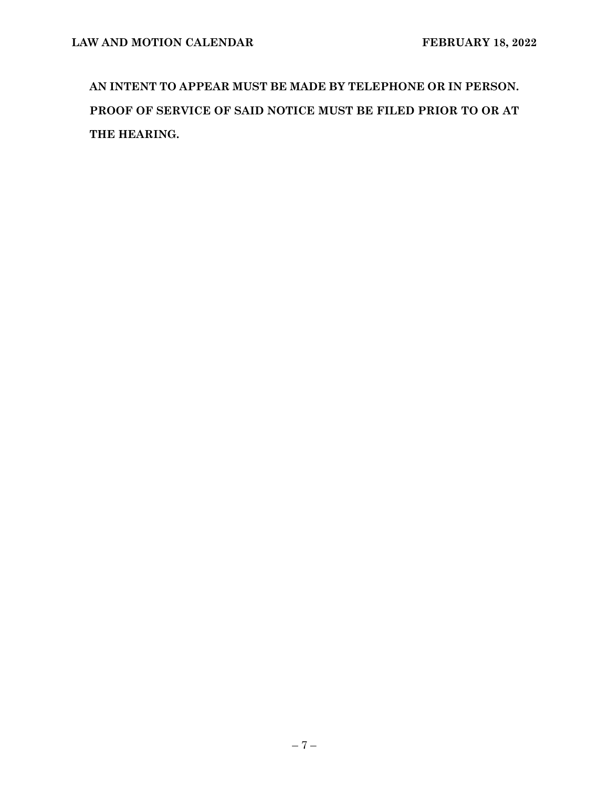**AN INTENT TO APPEAR MUST BE MADE BY TELEPHONE OR IN PERSON. PROOF OF SERVICE OF SAID NOTICE MUST BE FILED PRIOR TO OR AT THE HEARING.**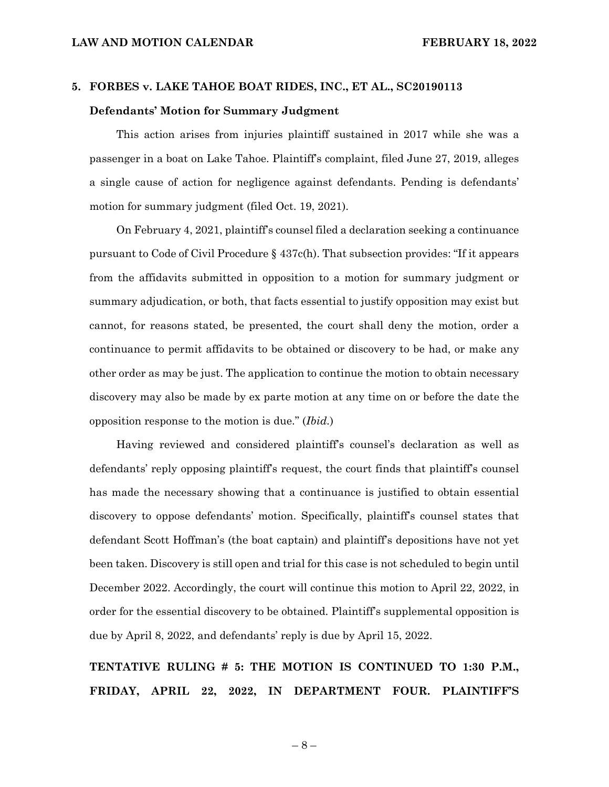### **5. FORBES v. LAKE TAHOE BOAT RIDES, INC., ET AL., SC20190113 Defendants' Motion for Summary Judgment**

This action arises from injuries plaintiff sustained in 2017 while she was a passenger in a boat on Lake Tahoe. Plaintiff's complaint, filed June 27, 2019, alleges a single cause of action for negligence against defendants. Pending is defendants' motion for summary judgment (filed Oct. 19, 2021).

On February 4, 2021, plaintiff's counsel filed a declaration seeking a continuance pursuant to Code of Civil Procedure § 437c(h). That subsection provides: "If it appears from the affidavits submitted in opposition to a motion for summary judgment or summary adjudication, or both, that facts essential to justify opposition may exist but cannot, for reasons stated, be presented, the court shall deny the motion, order a continuance to permit affidavits to be obtained or discovery to be had, or make any other order as may be just. The application to continue the motion to obtain necessary discovery may also be made by ex parte motion at any time on or before the date the opposition response to the motion is due." (*Ibid.*)

Having reviewed and considered plaintiff's counsel's declaration as well as defendants' reply opposing plaintiff's request, the court finds that plaintiff's counsel has made the necessary showing that a continuance is justified to obtain essential discovery to oppose defendants' motion. Specifically, plaintiff's counsel states that defendant Scott Hoffman's (the boat captain) and plaintiff's depositions have not yet been taken. Discovery is still open and trial for this case is not scheduled to begin until December 2022. Accordingly, the court will continue this motion to April 22, 2022, in order for the essential discovery to be obtained. Plaintiff's supplemental opposition is due by April 8, 2022, and defendants' reply is due by April 15, 2022.

**TENTATIVE RULING # 5: THE MOTION IS CONTINUED TO 1:30 P.M., FRIDAY, APRIL 22, 2022, IN DEPARTMENT FOUR. PLAINTIFF'S** 

 $-8-$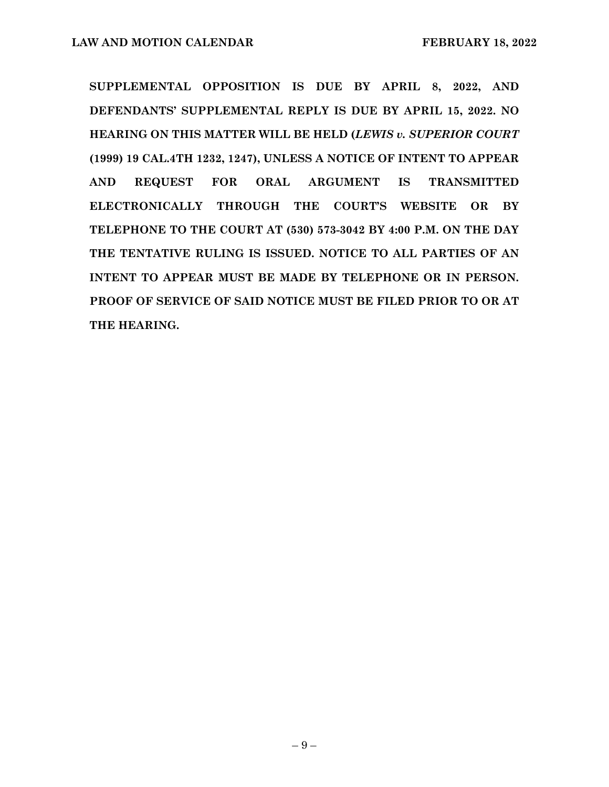**SUPPLEMENTAL OPPOSITION IS DUE BY APRIL 8, 2022, AND DEFENDANTS' SUPPLEMENTAL REPLY IS DUE BY APRIL 15, 2022. NO HEARING ON THIS MATTER WILL BE HELD (***LEWIS v. SUPERIOR COURT* **(1999) 19 CAL.4TH 1232, 1247), UNLESS A NOTICE OF INTENT TO APPEAR AND REQUEST FOR ORAL ARGUMENT IS TRANSMITTED ELECTRONICALLY THROUGH THE COURT'S WEBSITE OR BY TELEPHONE TO THE COURT AT (530) 573-3042 BY 4:00 P.M. ON THE DAY THE TENTATIVE RULING IS ISSUED. NOTICE TO ALL PARTIES OF AN INTENT TO APPEAR MUST BE MADE BY TELEPHONE OR IN PERSON. PROOF OF SERVICE OF SAID NOTICE MUST BE FILED PRIOR TO OR AT THE HEARING.**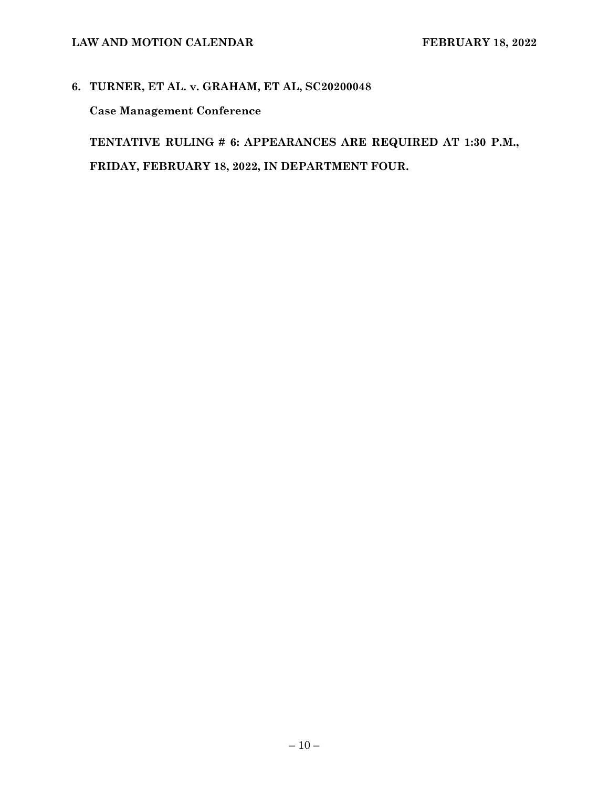# **6. TURNER, ET AL. v. GRAHAM, ET AL, SC20200048**

**Case Management Conference** 

**TENTATIVE RULING # 6: APPEARANCES ARE REQUIRED AT 1:30 P.M., FRIDAY, FEBRUARY 18, 2022, IN DEPARTMENT FOUR.**